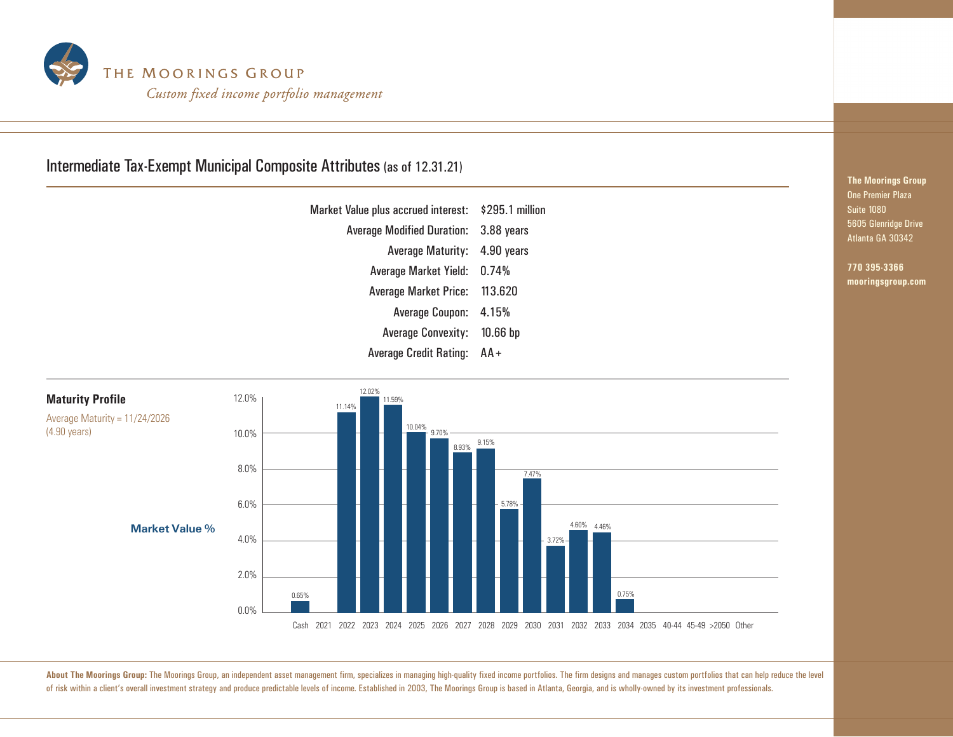

## Intermediate Tax-Exempt Municipal Composite Attributes (as of 12.31.21)

| Market Value plus accrued interest:   | \$295.1 million |
|---------------------------------------|-----------------|
| Average Modified Duration: 3.88 years |                 |
| <b>Average Maturity:</b>              | 4.90 years      |
| Average Market Yield: 0.74%           |                 |
| <b>Average Market Price:</b>          | 113.620         |
| Average Coupon: 4.15%                 |                 |
| <b>Average Convexity:</b>             | $10.66$ bp      |
| <b>Average Credit Rating:</b>         | $AA +$          |



**The Moorings Group** One Premier Plaza Suite 1080 5605 Glenridge Drive Atlanta GA 30342

> **770 395-3366 mooringsgroup.com**

About The Moorings Group: The Moorings Group, an independent asset management firm, specializes in managing high-quality fixed income portfolios. The firm designs and manages custom portfolios that can help reduce the leve of risk within a client's overall investment strategy and produce predictable levels of income. Established in 2003, The Moorings Group is based in Atlanta, Georgia, and is wholly-owned by its investment professionals.